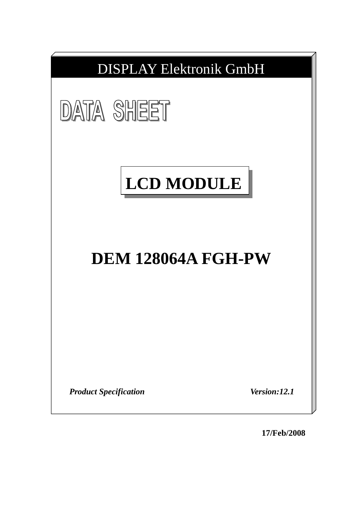

**17/Feb/2008**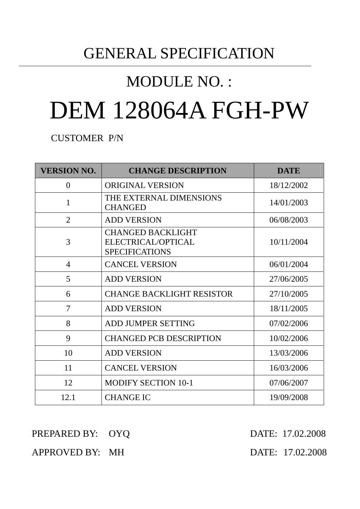## GENERAL SPECIFICATION

## MODULE NO. :

# DEM 128064A FGH-PW

CUSTOMER P/N

| <b>VERSION NO.</b> | <b>CHANGE DESCRIPTION</b>                                               | <b>DATE</b> |
|--------------------|-------------------------------------------------------------------------|-------------|
| $\theta$           | <b>ORIGINAL VERSION</b>                                                 | 18/12/2002  |
| $\mathbf{1}$       | THE EXTERNAL DIMENSIONS<br><b>CHANGED</b>                               | 14/01/2003  |
| $\overline{2}$     | <b>ADD VERSION</b>                                                      | 06/08/2003  |
| 3                  | <b>CHANGED BACKLIGHT</b><br>ELECTRICAL/OPTICAL<br><b>SPECIFICATIONS</b> | 10/11/2004  |
| 4                  | <b>CANCEL VERSION</b>                                                   | 06/01/2004  |
| 5                  | <b>ADD VERSION</b>                                                      | 27/06/2005  |
| 6                  | <b>CHANGE BACKLIGHT RESISTOR</b>                                        | 27/10/2005  |
| 7                  | <b>ADD VERSION</b>                                                      | 18/11/2005  |
| 8                  | <b>ADD JUMPER SETTING</b>                                               | 07/02/2006  |
| 9                  | <b>CHANGED PCB DESCRIPTION</b>                                          | 10/02/2006  |
| 10                 | <b>ADD VERSION</b>                                                      | 13/03/2006  |
| 11                 | <b>CANCEL VERSION</b>                                                   | 16/03/2006  |
| 12                 | <b>MODIFY SECTION 10-1</b>                                              | 07/06/2007  |
| 12.1               | <b>CHANGE IC</b>                                                        | 19/09/2008  |

#### PREPARED BY: OYQ DATE: 17.02.2008

## APPROVED BY: MH DATE: 17.02.2008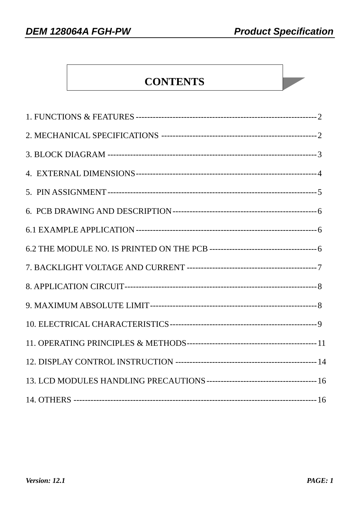## **CONTENTS**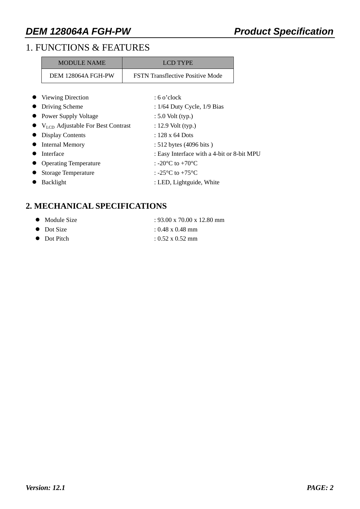## 1. FUNCTIONS & FEATURES

| <b>MODULE NAME</b>  | LCD TYPE                                |  |
|---------------------|-----------------------------------------|--|
| DEM 128064A FGH-PW  | <b>FSTN</b> Transflective Positive Mode |  |
| • Viewing Direction | $:6$ o'clock                            |  |

|           | • Driving Scheme                                        | : $1/64$ Duty Cycle, $1/9$ Bias                        |
|-----------|---------------------------------------------------------|--------------------------------------------------------|
|           | • Power Supply Voltage                                  | $: 5.0$ Volt (typ.)                                    |
|           | $\bullet$ V <sub>LCD</sub> Adjustable For Best Contrast | $: 12.9$ Volt (typ.)                                   |
|           | • Display Contents                                      | $: 128 \times 64$ Dots                                 |
|           | • Internal Memory                                       | : 512 bytes (4096 bits)                                |
| $\bullet$ | Interface                                               | : Easy Interface with a 4-bit or 8-bit MPU             |
|           | • Operating Temperature                                 | : -20 $^{\circ}$ C to +70 $^{\circ}$ C                 |
|           | • Storage Temperature                                   | : -25 $\mathrm{^{\circ}C}$ to +75 $\mathrm{^{\circ}C}$ |
| $\bullet$ | Backlight                                               | : LED, Lightguide, White                               |
|           |                                                         |                                                        |

#### **2. MECHANICAL SPECIFICATIONS**

| $: 93.00 \times 70.00 \times 12.80$ mm<br>• Module Size |
|---------------------------------------------------------|
|---------------------------------------------------------|

- $\bullet$  Dot Size : 0.48 x 0.48 mm
- $\bullet$  Dot Pitch : 0.52 x 0.52 mm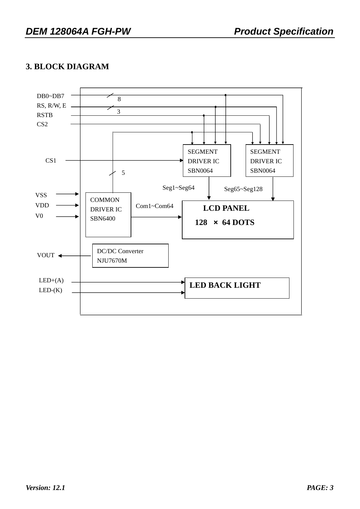#### **3. BLOCK DIAGRAM**

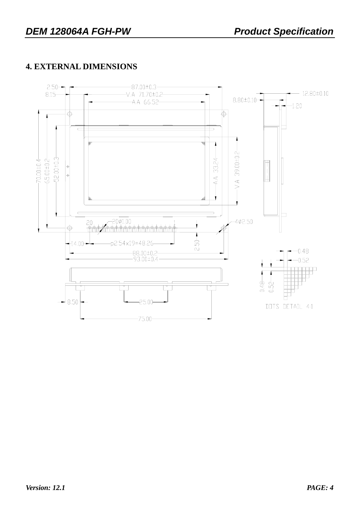### **4. EXTERNAL DIMENSIONS**

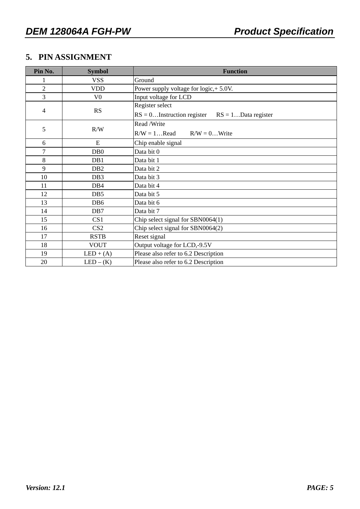#### **5. PIN ASSIGNMENT**

| Pin No.        | <b>Symbol</b>    | <b>Function</b>                                        |  |  |  |  |  |
|----------------|------------------|--------------------------------------------------------|--|--|--|--|--|
|                | <b>VSS</b>       | Ground                                                 |  |  |  |  |  |
| $\overline{2}$ | <b>VDD</b>       | Power supply voltage for logic, + 5.0V.                |  |  |  |  |  |
| 3              | V <sub>0</sub>   | Input voltage for LCD                                  |  |  |  |  |  |
|                |                  | Register select                                        |  |  |  |  |  |
| 4              | RS               | $RS = 0$ Instruction register<br>$RS = 1Data register$ |  |  |  |  |  |
|                |                  | Read /Write                                            |  |  |  |  |  |
| 5              | R/W              | $R/W = 1$ Read<br>$R/W = 0$ Write                      |  |  |  |  |  |
| 6              | E                | Chip enable signal                                     |  |  |  |  |  |
| $\overline{7}$ | DB <sub>0</sub>  | Data bit 0                                             |  |  |  |  |  |
| $\,8\,$        | DB1              | Data bit 1                                             |  |  |  |  |  |
| 9              | D <sub>B</sub> 2 | Data bit 2                                             |  |  |  |  |  |
| 10             | DB <sub>3</sub>  | Data bit 3                                             |  |  |  |  |  |
| 11             | DB4              | Data bit 4                                             |  |  |  |  |  |
| 12             | DB <sub>5</sub>  | Data bit 5                                             |  |  |  |  |  |
| 13             | DB <sub>6</sub>  | Data bit 6                                             |  |  |  |  |  |
| 14             | D <sub>B7</sub>  | Data bit 7                                             |  |  |  |  |  |
| 15             | CS <sub>1</sub>  | Chip select signal for SBN0064(1)                      |  |  |  |  |  |
| 16             | CS <sub>2</sub>  | Chip select signal for SBN0064(2)                      |  |  |  |  |  |
| 17             | <b>RSTB</b>      | Reset signal                                           |  |  |  |  |  |
| 18             | <b>VOUT</b>      | Output voltage for LCD,-9.5V                           |  |  |  |  |  |
| 19             | $LED + (A)$      | Please also refer to 6.2 Description                   |  |  |  |  |  |
| 20             | $LED - (K)$      | Please also refer to 6.2 Description                   |  |  |  |  |  |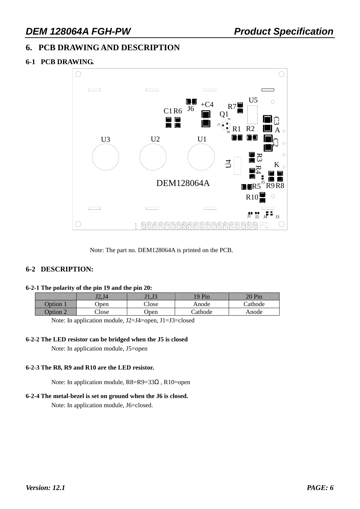#### **6. PCB DRAWING AND DESCRIPTION**

#### **6-1 PCB DRAWING.**



Note: The part no. DEM128064A is printed on the PCB.

#### **6-2 DESCRIPTION:**

#### **6-2-1 The polarity of the pin 19 and the pin 20:**

|          | J2.J4         | J1.J3         | 19 Pin         | $\gamma$ 0 Pin |
|----------|---------------|---------------|----------------|----------------|
| Option   | Jpen          | $\gamma$ lose | Anode          | <b>Cathode</b> |
| Option 2 | $\gamma$ lose | Jpen          | <b>Cathode</b> | Anode          |

Note: In application module, J2=J4=open, J1=J3=closed

#### **6-2-2 The LED resistor can be bridged when the J5 is closed**

Note: In application module, J5=open

#### **6-2-3 The R8, R9 and R10 are the LED resistor.**

Note: In application module, R8=R9=33Ω , R10=open

#### **6-2-4 The metal-bezel is set on ground when the J6 is closed.**

Note: In application module, J6=closed.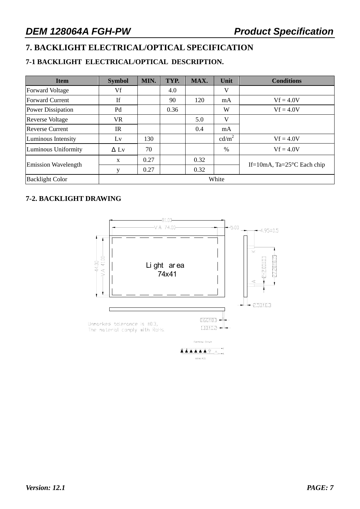## **7. BACKLIGHT ELECTRICAL/OPTICAL SPECIFICATION**

#### **7-1 BACKLIGHT ELECTRICAL/OPTICAL DESCRIPTION.**

| <b>Item</b>                | <b>Symbol</b> | MIN. | TYP. | MAX. | Unit              | <b>Conditions</b>                     |
|----------------------------|---------------|------|------|------|-------------------|---------------------------------------|
| <b>Forward Voltage</b>     | Vf            |      | 4.0  |      | V                 |                                       |
| <b>Forward Current</b>     | If            |      | 90   | 120  | mA                | $Vf = 4.0V$                           |
| Power Dissipation          | Pd            |      | 0.36 |      | W                 | $Vf = 4.0V$                           |
| <b>Reverse Voltage</b>     | VR            |      |      | 5.0  | V                 |                                       |
| <b>Reverse Current</b>     | IR            |      |      | 0.4  | mA                |                                       |
| Luminous Intensity         | Lv            | 130  |      |      | cd/m <sup>2</sup> | $Vf = 4.0V$                           |
| Luminous Uniformity        | $\Delta$ Ly   | 70   |      |      | $\frac{0}{0}$     | $Vf = 4.0V$                           |
|                            | X             | 0.27 |      | 0.32 |                   |                                       |
| <b>Emission Wavelength</b> | y             | 0.27 |      | 0.32 |                   | If=10mA, Ta= $25^{\circ}$ C Each chip |
| <b>Backlight Color</b>     | White         |      |      |      |                   |                                       |

#### **7-2. BACKLIGHT DRAWING**

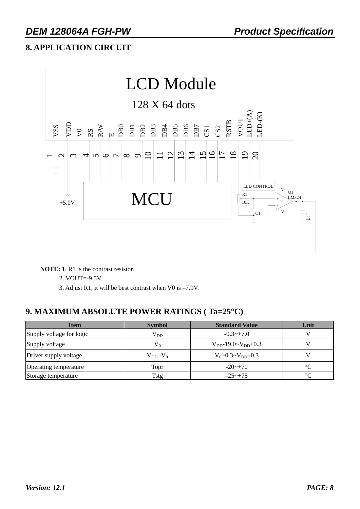## **8. APPLICATION CIRCUIT**



**NOTE:** 1. R1 is the contrast resistor.

2. VOUT=-9.5V

3. Adjust R1, it will be best contrast when V0 is –7.9V.

## **9. MAXIMUM ABSOLUTE POWER RATINGS ( Ta=25°C)**

| <b>Item</b>              | <b>Symbol</b>            | <b>Standard Value</b>         | Unit            |
|--------------------------|--------------------------|-------------------------------|-----------------|
| Supply voltage for logic | $V_{DD}$                 | $-0.3 \rightarrow +7.0$       |                 |
| Supply voltage           | $V_0$                    | $V_{DD}$ -19.0~ $V_{DD}$ +0.3 |                 |
| Driver supply voltage    | $\rm V_{DD}$ -V $\rm _0$ | $V_0 -0.3 \sim V_{DD} +0.3$   |                 |
| Operating temperature    | Topr                     | $-20$ ~ $+70$                 | $\rm ^{\circ}C$ |
| Storage temperature      | Tstg                     | $-25 - +75$                   | $\circ$         |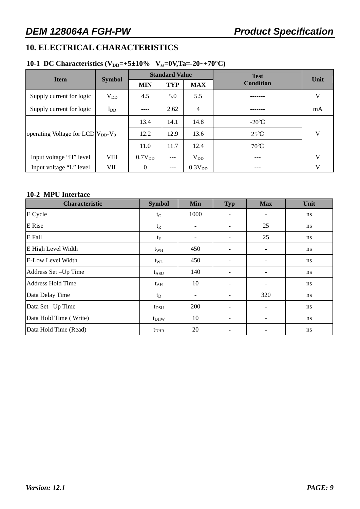#### **10. ELECTRICAL CHARACTERISTICS**

#### **10-1 DC Characteristics (V<sub>DD</sub>=+5±10% V<sub>ss</sub>=0V,Ta=-20~+70°C)**

| <b>Item</b>                              |               | <b>Standard Value</b><br><b>TYP</b><br><b>MAX</b><br><b>MIN</b> |       |                    | <b>Test</b>      | Unit         |  |
|------------------------------------------|---------------|-----------------------------------------------------------------|-------|--------------------|------------------|--------------|--|
|                                          | <b>Symbol</b> |                                                                 |       |                    | <b>Condition</b> |              |  |
| Supply current for logic                 | $V_{DD}$      | 4.5                                                             | 5.0   | 5.5                |                  | V            |  |
| Supply current for logic                 | $I_{DD}$      |                                                                 | 2.62  | $\overline{4}$     |                  | mA           |  |
|                                          |               | 13.4                                                            | 14.1  | 14.8               | $-20^{\circ}$ C  |              |  |
| operating Voltage for LCD $ V_{DD}-V_0 $ |               | 12.2                                                            | 12.9  | 13.6               | $25^{\circ}C$    | V            |  |
|                                          |               | 11.0                                                            | 11.7  | 12.4               | $70^{\circ}$ C   |              |  |
| Input voltage "H" level                  | VIH           | $0.7V_{DD}$                                                     | $---$ | $V_{DD}$           | $---$            | $\mathbf{V}$ |  |
| Input voltage "L" level                  | VIL           | $\theta$                                                        | $---$ | 0.3V <sub>DD</sub> | $---$            | V            |  |

#### **10-2 MPU Interface**

| <b>Characteristic</b>     | <b>Symbol</b> | Min                      | <b>Typ</b>     | <b>Max</b>               | Unit |
|---------------------------|---------------|--------------------------|----------------|--------------------------|------|
| E Cycle                   | $t_C$         | 1000                     | $\blacksquare$ | -                        | ns   |
| E Rise                    | $t_{R}$       |                          |                | 25                       | ns   |
| E Fall                    | $t_{\rm F}$   | $\overline{\phantom{a}}$ | -              | 25                       | ns   |
| <b>E</b> High Level Width | $t_{WH}$      | 450                      | $\overline{a}$ | $\overline{\phantom{a}}$ | ns   |
| E-Low Level Width         | $t_{\rm WL}$  | 450                      |                | -                        | ns   |
| Address Set - Up Time     | $t_{ASU}$     | 140                      | $\blacksquare$ | -                        | ns   |
| <b>Address Hold Time</b>  | $t_{AH}$      | 10                       | $\blacksquare$ | -                        | ns   |
| Data Delay Time           | $t_D$         |                          |                | 320                      | ns   |
| Data Set - Up Time        | $t_{DSU}$     | <b>200</b>               | $\blacksquare$ | $\overline{\phantom{a}}$ | ns   |
| Data Hold Time (Write)    | $t_{DHW}$     | 10                       | $\blacksquare$ | $\overline{\phantom{a}}$ | ns   |
| Data Hold Time (Read)     | $t_{\rm DHR}$ | 20                       |                |                          | ns   |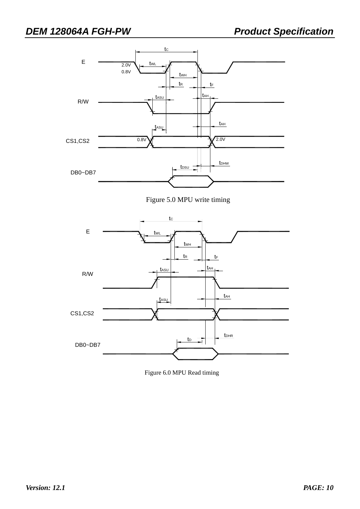

Figure 5.0 MPU write timing



Figure 6.0 MPU Read timing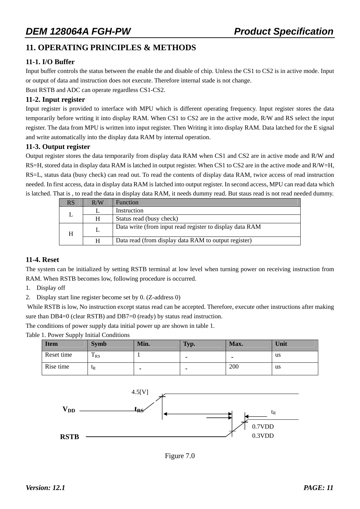#### **11. OPERATING PRINCIPLES & METHODS**

#### **11-1. I/O Buffer**

Input buffer controls the status between the enable the and disable of chip. Unless the CS1 to CS2 is in active mode. Input or output of data and instruction does not execute. Therefore internal stade is not change.

Bust RSTB and ADC can operate regardless CS1-CS2.

#### **11-2. Input register**

Input register is provided to interface with MPU which is different operating frequency. Input register stores the data temporarily before writing it into display RAM. When CS1 to CS2 are in the active mode, R/W and RS select the input register. The data from MPU is written into input register. Then Writing it into display RAM. Data latched for the E signal and write automatically into the display data RAM by internal operation.

#### **11-3. Output register**

Output register stores the data temporarily from display data RAM when CS1 and CS2 are in active mode and R/W and RS=H, stored data in display data RAM is latched in output register. When CS1 to CS2 are in the active mode and R/W=H, RS=L, status data (busy check) can read out. To read the contents of display data RAM, twice access of read instruction needed. In first access, data in display data RAM is latched into output register. In second access, MPU can read data which is latched. That is , to read the data in display data RAM, it needs dummy read. But staus read is not read needed dummy.

| RS | R/W | <b>Function</b>                                          |
|----|-----|----------------------------------------------------------|
|    |     | Instruction                                              |
|    | H   | Status read (busy check)                                 |
| H  |     | Data write (from input read register to display data RAM |
|    | H   | Data read (from display data RAM to output register)     |

#### **11-4. Reset**

The system can be initialized by setting RSTB terminal at low level when turning power on receiving instruction from RAM. When RSTB becomes low, following procedure is occurred.

- 1. Display off
- 2. Display start line register become set by 0. (Z-address 0)

 While RSTB is low, No instruction except status read can be accepted. Therefore, execute other instructions after making sure than DB4=0 (clear RSTB) and DB7=0 (ready) by status read instruction.

The conditions of power supply data initial power up are shown in table 1.

Table 1. Power Supply Initial Conditions

| <b>Item</b> | <b>Symb</b>   | Min. | Typ.                     | Max.                     | Unit |
|-------------|---------------|------|--------------------------|--------------------------|------|
| Reset time  | m<br>$1_{RS}$ |      | $\overline{\phantom{a}}$ | $\overline{\phantom{0}}$ | us   |
| Rise time   | $\iota_{R}$   | -    | $\,$                     | 200                      | us   |



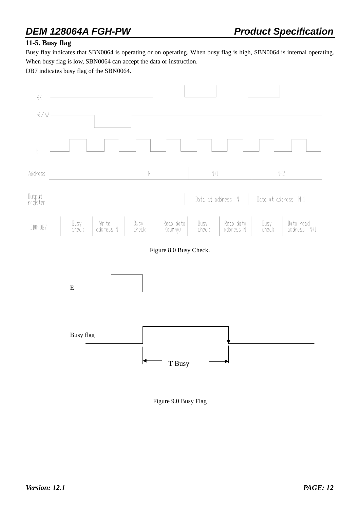#### **11-5. Busy flag**

Busy flay indicates that SBN0064 is operating or on operating. When busy flag is high, SBN0064 is internal operating. When busy flag is low, SBN0064 can accept the data or instruction.

DB7 indicates busy flag of the SBN0064.



Figure 9.0 Busy Flag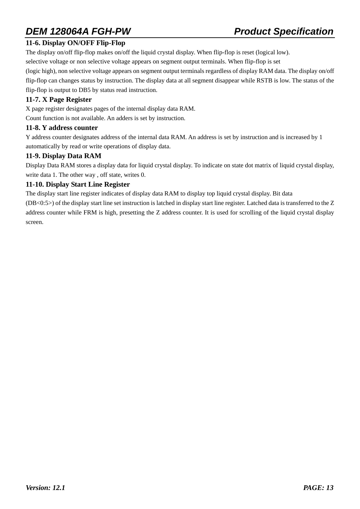#### **11-6. Display ON/OFF Flip-Flop**

The display on/off flip-flop makes on/off the liquid crystal display. When flip-flop is reset (logical low).

selective voltage or non selective voltage appears on segment output terminals. When flip-flop is set

(logic high), non selective voltage appears on segment output terminals regardless of display RAM data. The display on/off flip-flop can changes status by instruction. The display data at all segment disappear while RSTB is low. The status of the flip-flop is output to DB5 by status read instruction.

#### **11-7. X Page Register**

X page register designates pages of the internal display data RAM. Count function is not available. An adders is set by instruction.

#### **11-8. Y address counter**

Y address counter designates address of the internal data RAM. An address is set by instruction and is increased by 1 automatically by read or write operations of display data.

#### **11-9. Display Data RAM**

Display Data RAM stores a display data for liquid crystal display. To indicate on state dot matrix of liquid crystal display, write data 1. The other way , off state, writes 0.

#### **11-10. Display Start Line Register**

The display start line register indicates of display data RAM to display top liquid crystal display. Bit data

(DB<0:5>) of the display start line set instruction is latched in display start line register. Latched data is transferred to the Z address counter while FRM is high, presetting the Z address counter. It is used for scrolling of the liquid crystal display screen.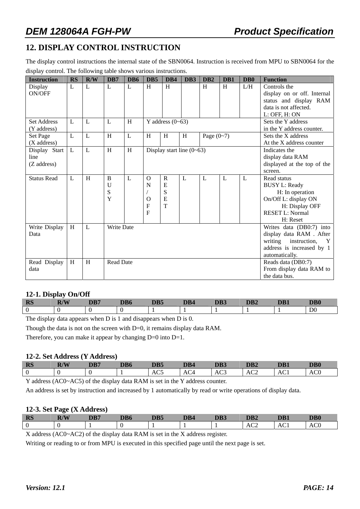#### **12. DISPLAY CONTROL INSTRUCTION**

The display control instructions the internal state of the SBN0064. Instruction is received from MPU to SBN0064 for the display control. The following table shows various instructions.

| <b>Instruction</b> | <b>RS</b>    | R/W | DB7               | DB6                       | D <sub>B5</sub> | DB4                | DB <sub>3</sub>             | D <sub>B</sub> 2 | D <sub>B1</sub> | D <sub>B</sub> 0 | <b>Function</b>              |
|--------------------|--------------|-----|-------------------|---------------------------|-----------------|--------------------|-----------------------------|------------------|-----------------|------------------|------------------------------|
| Display            | L            | L   | L                 | L                         | H               | H                  |                             | H                | H               | L/H              | Controls the                 |
| ON/OFF             |              |     |                   |                           |                 |                    |                             |                  |                 |                  | display on or off. Internal  |
|                    |              |     |                   |                           |                 |                    |                             |                  |                 |                  | status and display RAM       |
|                    |              |     |                   |                           |                 |                    |                             |                  |                 |                  | data is not affected.        |
|                    |              |     |                   |                           |                 |                    |                             |                  |                 |                  | L: OFF, H: ON                |
| <b>Set Address</b> | L            | L   | L                 | H                         |                 | Y address $(0-63)$ |                             |                  |                 |                  | Sets the Y address           |
| (Y address)        |              |     |                   |                           |                 |                    |                             |                  |                 |                  | in the Y address counter.    |
| Set Page           | L            | L   | H                 | L                         | H               | H                  | H                           | Page $(0-7)$     |                 |                  | Sets the X address           |
| (X address)        |              |     |                   |                           |                 |                    |                             |                  |                 |                  | At the X address counter     |
| Display Start      | L            | L   | H                 | $\boldsymbol{\mathrm{H}}$ |                 |                    | Display start line $(0-63)$ |                  |                 |                  | Indicates the                |
| line               |              |     |                   |                           |                 |                    |                             |                  |                 |                  | display data RAM             |
| (Z address)        |              |     |                   |                           |                 |                    |                             |                  |                 |                  | displayed at the top of the  |
|                    |              |     |                   |                           |                 |                    |                             |                  |                 |                  | screen.                      |
| <b>Status Read</b> | $\mathbf{L}$ | H   | B                 | L                         | $\Omega$        | $\mathbf R$        | L                           | L                | L               | $\mathbf{L}$     | Read status                  |
|                    |              |     | U                 |                           | N               | E                  |                             |                  |                 |                  | <b>BUSY L: Ready</b>         |
|                    |              |     | S                 |                           |                 | S                  |                             |                  |                 |                  | H: In operation              |
|                    |              |     | Y                 |                           | $\Omega$        | $\mathbf E$        |                             |                  |                 |                  | On/Off L: display ON         |
|                    |              |     |                   |                           | $\mathbf F$     | T                  |                             |                  |                 |                  | H: Display OFF               |
|                    |              |     |                   |                           | $\overline{F}$  |                    |                             |                  |                 |                  | <b>RESET L: Normal</b>       |
|                    |              |     |                   |                           |                 |                    |                             |                  |                 |                  | H: Reset                     |
| Write Display      | H            | L   | <b>Write Date</b> |                           |                 |                    |                             |                  |                 |                  | Writes data (DB0:7) into     |
| Data               |              |     |                   |                           |                 |                    |                             |                  |                 |                  | display data RAM . After     |
|                    |              |     |                   |                           |                 |                    |                             |                  |                 |                  | writing<br>instruction,<br>Y |
|                    |              |     |                   |                           |                 |                    |                             |                  |                 |                  | address is increased by 1    |
|                    |              |     |                   |                           |                 |                    |                             |                  |                 |                  | automatically.               |
| Read Display       | H            | H   | <b>Read Date</b>  |                           |                 |                    |                             |                  |                 |                  | Reads data (DB0:7)           |
| data               |              |     |                   |                           |                 |                    |                             |                  |                 |                  | From display data RAM to     |
|                    |              |     |                   |                           |                 |                    |                             |                  |                 |                  | the data bus.                |

#### **12-1. Display On/Off**

| -<br>DC<br><b>IVP</b> | 15T<br>$\boldsymbol{w}$<br>шу | DB7 | DB <sub>6</sub> | DB5 | DB4 | DB3 | DB <sub>2</sub> | DB1 | $\mathbf{DB}0$ |
|-----------------------|-------------------------------|-----|-----------------|-----|-----|-----|-----------------|-----|----------------|
|                       |                               |     |                 |     |     |     |                 |     | D <sub>0</sub> |

The display data appears when D is 1 and disappears when D is 0.

Though the data is not on the screen with D=0, it remains display data RAM.

Therefore, you can make it appear by changing  $D=0$  into  $D=1$ .

#### **12-2. Set Address (Y Address)**

| <b>RS</b> | $\mathbf{H}$<br>IV | DB7 | DD/<br>DB6 | DB5                  | DR4 | <b>DD</b> <sup>1</sup> | DB2 | DB1 | D <sub>B</sub> <sub>0</sub> |
|-----------|--------------------|-----|------------|----------------------|-----|------------------------|-----|-----|-----------------------------|
| ∩<br>U    |                    |     |            | $\sim$ $\sim$<br>AC5 | AC4 | AC <sub>3</sub>        | AC2 | ACI | $\sim$<br>ACU               |
| ____      |                    |     | _ _ _ _ _  | .                    |     |                        |     |     |                             |

Y address (AC0~AC5) of the display data RAM is set in the Y address counter.

An address is set by instruction and increased by 1 automatically by read or write operations of display data.

#### **12-3. Set Page (X Address)**

| $\sim$<br>$\sim$ | <b>RS</b> | D/IX<br>W | $\mathbf{D} \mathbf{D} \mathbf{F}$ | DB6 | DB5 | DB4 | DB3 | DB <sub>2</sub> | DB1 | DB <sub>0</sub> |
|------------------|-----------|-----------|------------------------------------|-----|-----|-----|-----|-----------------|-----|-----------------|
|                  | $\theta$  |           |                                    |     |     |     |     | AC2             | AC. |                 |

X address (AC0~AC2) of the display data RAM is set in the X address register.

Writing or reading to or from MPU is executed in this specified page until the next page is set.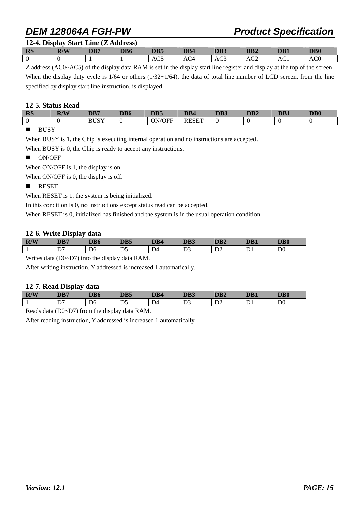| 12-4. Display Start Line (Z Address) |  |  |
|--------------------------------------|--|--|
|                                      |  |  |

| AC0<br>AC2<br>AC1<br>AC <sub>5</sub><br>AC3<br>AC <sub>4</sub><br>U | <b>RS</b> | R/W<br>W | DB7 | DB6 | DB <sub>5</sub> | DB <sub>4</sub> | DB3 | DB <sub>2</sub> | DB1 | D <sub>B</sub> 0 |
|---------------------------------------------------------------------|-----------|----------|-----|-----|-----------------|-----------------|-----|-----------------|-----|------------------|
|                                                                     |           |          |     |     |                 |                 |     |                 |     |                  |

Z address (AC0~AC5) of the display data RAM is set in the display start line register and display at the top of the screen. When the display duty cycle is  $1/64$  or others  $(1/32 \sim 1/64)$ , the data of total line number of LCD screen, from the line specified by display start line instruction, is displayed.

#### **12-5. Status Read**

| <b>RS</b> | $\mathbf{D}$ /V $\mathbf{V}$<br>IV | DB7                   | DD/<br>-DB6 | DB5  | DB4                         | DB3 | DB <sub>2</sub> | DB1 | DB <sub>0</sub> |
|-----------|------------------------------------|-----------------------|-------------|------|-----------------------------|-----|-----------------|-----|-----------------|
| 0         |                                    | <b>DIICV</b><br>DUJ 1 |             | /OFF | <b>DECEP</b><br>╲⊢<br>. R H |     |                 |     |                 |
|           |                                    |                       |             |      |                             |     |                 |     |                 |

#### **BUSY**

When BUSY is 1, the Chip is executing internal operation and no instructions are accepted.

When BUSY is 0, the Chip is ready to accept any instructions.

ON/OFF

When ON/OFF is 1, the display is on.

When ON/OFF is 0, the display is off.

#### **RESET**

When RESET is 1, the system is being initialized.

In this condition is 0, no instructions except status read can be accepted.

When RESET is 0, initialized has finished and the system is in the usual operation condition

#### **12-6. Write Display data**

| R/W | -<br><b>DD</b><br>WD. |    | m. | DD 1    | <b>DD</b><br>гля | DB <sub>2</sub> | DB1 | DB0            |
|-----|-----------------------|----|----|---------|------------------|-----------------|-----|----------------|
|     | $\mathbf{D}$<br>◡     | D6 | D5 | ∽<br>D4 |                  | $\mathcal{L}$   |     | D <sub>0</sub> |

Writes data (D0~D7) into the display data RAM.

After writing instruction, Y addressed is increased 1 automatically.

#### **12-7. Read Display data**

| R/W | DD5<br>UD.   | AD O<br>DB0    | DB5     | DB4                                 | DB3               | DD4<br>DB2 | DB1 | $\mathbf{DB0}$ |
|-----|--------------|----------------|---------|-------------------------------------|-------------------|------------|-----|----------------|
|     | $\mathbf{r}$ | D <sub>6</sub> | nς<br>້ | $\overline{\phantom{a}}$<br>$D^{a}$ | $\mathbf{D}$<br>ມ | ◡          |     | D <sub>0</sub> |

Reads data (D0~D7) from the display data RAM.

After reading instruction, Y addressed is increased 1 automatically.